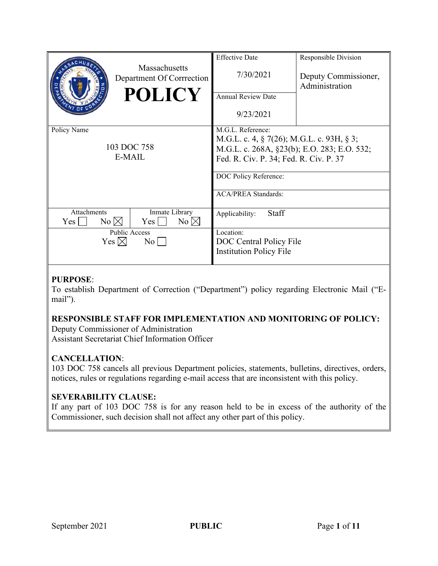|                                                                                   | <b>Effective Date</b>                           | Responsible Division                   |
|-----------------------------------------------------------------------------------|-------------------------------------------------|----------------------------------------|
| Massachusetts<br>Department Of Corrrection                                        | 7/30/2021                                       | Deputy Commissioner,<br>Administration |
| <b>POLICY</b>                                                                     | <b>Annual Review Date</b>                       |                                        |
|                                                                                   | 9/23/2021                                       |                                        |
| Policy Name                                                                       | M.G.L. Reference:                               |                                        |
|                                                                                   | M.G.L. c. 4, $\S$ 7(26); M.G.L. c. 93H, $\S$ 3; |                                        |
| 103 DOC 758                                                                       | M.G.L. c. 268A, §23(b); E.O. 283; E.O. 532;     |                                        |
| E-MAIL                                                                            | Fed. R. Civ. P. 34; Fed. R. Civ. P. 37          |                                        |
|                                                                                   | DOC Policy Reference:                           |                                        |
|                                                                                   | <b>ACA/PREA Standards:</b>                      |                                        |
| Attachments<br>Inmate Library<br>No $\boxtimes$<br>$No \boxtimes$<br>Yes l<br>Yes | Staff<br>Applicability:                         |                                        |
| Public Access                                                                     | Location:                                       |                                        |
| Yes $\boxtimes$<br>$\rm{No}$                                                      | DOC Central Policy File                         |                                        |
|                                                                                   | <b>Institution Policy File</b>                  |                                        |

# **PURPOSE**:

To establish Department of Correction ("Department") policy regarding Electronic Mail ("Email").

# **RESPONSIBLE STAFF FOR IMPLEMENTATION AND MONITORING OF POLICY:**

Deputy Commissioner of Administration

Assistant Secretariat Chief Information Officer

# **CANCELLATION**:

103 DOC 758 cancels all previous Department policies, statements, bulletins, directives, orders, notices, rules or regulations regarding e-mail access that are inconsistent with this policy.

# **SEVERABILITY CLAUSE:**

If any part of 103 DOC 758 is for any reason held to be in excess of the authority of the Commissioner, such decision shall not affect any other part of this policy.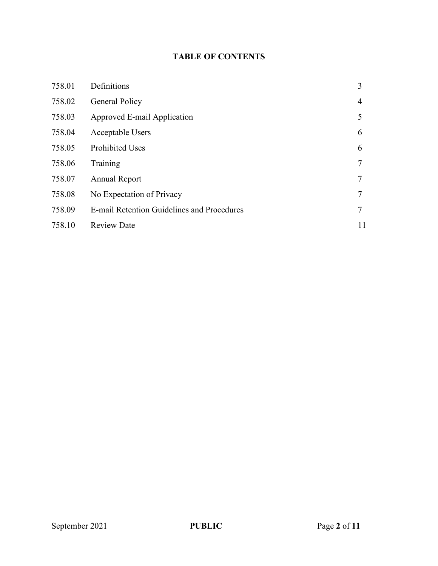# **TABLE OF CONTENTS**

| 758.01 | Definitions                                | 3              |
|--------|--------------------------------------------|----------------|
| 758.02 | <b>General Policy</b>                      | $\overline{4}$ |
| 758.03 | Approved E-mail Application                | 5              |
| 758.04 | Acceptable Users                           | 6              |
| 758.05 | <b>Prohibited Uses</b>                     | 6              |
| 758.06 | Training                                   | 7              |
| 758.07 | Annual Report                              | 7              |
| 758.08 | No Expectation of Privacy                  | 7              |
| 758.09 | E-mail Retention Guidelines and Procedures | 7              |
| 758.10 | <b>Review Date</b>                         | 11             |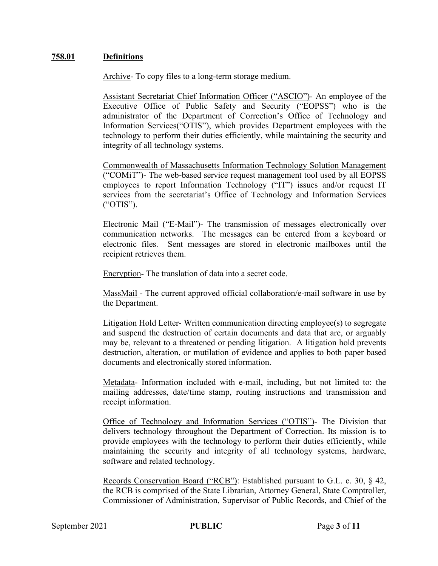### **758.01 Definitions**

Archive- To copy files to a long-term storage medium.

Assistant Secretariat Chief Information Officer ("ASCIO")- An employee of the Executive Office of Public Safety and Security ("EOPSS") who is the administrator of the Department of Correction's Office of Technology and Information Services("OTIS"), which provides Department employees with the technology to perform their duties efficiently, while maintaining the security and integrity of all technology systems.

Commonwealth of Massachusetts Information Technology Solution Management ("COMiT")- The web-based service request management tool used by all EOPSS employees to report Information Technology ("IT") issues and/or request IT services from the secretariat's Office of Technology and Information Services ("OTIS").

Electronic Mail ("E-Mail")- The transmission of messages electronically over communication networks. The messages can be entered from a keyboard or electronic files. Sent messages are stored in electronic mailboxes until the recipient retrieves them.

Encryption- The translation of data into a secret code.

MassMail - The current approved official collaboration/e-mail software in use by the Department.

Litigation Hold Letter- Written communication directing employee(s) to segregate and suspend the destruction of certain documents and data that are, or arguably may be, relevant to a threatened or pending litigation. A litigation hold prevents destruction, alteration, or mutilation of evidence and applies to both paper based documents and electronically stored information.

Metadata- Information included with e-mail, including, but not limited to: the mailing addresses, date/time stamp, routing instructions and transmission and receipt information.

Office of Technology and Information Services ("OTIS")- The Division that delivers technology throughout the Department of Correction. Its mission is to provide employees with the technology to perform their duties efficiently, while maintaining the security and integrity of all technology systems, hardware, software and related technology.

Records Conservation Board ("RCB"): Established pursuant to G.L. c. 30, § 42, the RCB is comprised of the State Librarian, Attorney General, State Comptroller, Commissioner of Administration, Supervisor of Public Records, and Chief of the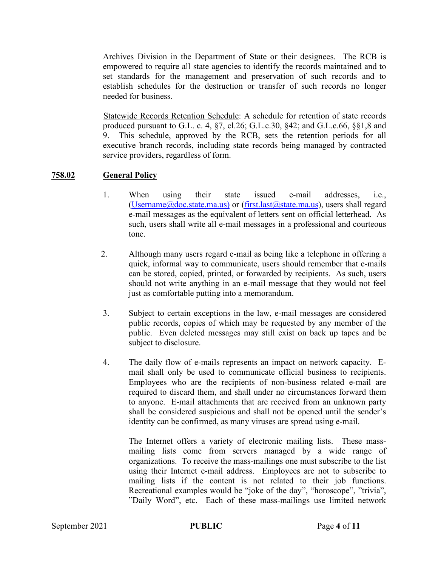Archives Division in the Department of State or their designees. The RCB is empowered to require all state agencies to identify the records maintained and to set standards for the management and preservation of such records and to establish schedules for the destruction or transfer of such records no longer needed for business.

Statewide Records Retention Schedule: A schedule for retention of state records produced pursuant to G.L. c. 4,  $\S7$ , cl.26; G.L.c.30,  $\S42$ ; and G.L.c.66,  $\S\S1$ ,8 and 9. This schedule, approved by the RCB, sets the retention periods for all executive branch records, including state records being managed by contracted service providers, regardless of form.

## **758.02 General Policy**

- 1. When using their state issued e-mail addresses, i.e., [\(Username@doc.state.ma.us\)](mailto:Username@doc.state.ma.us) or [\(first.last@state.ma.us\)](mailto:first.last@state.ma.us), users shall regard e-mail messages as the equivalent of letters sent on official letterhead. As such, users shall write all e-mail messages in a professional and courteous tone.
- 2. Although many users regard e-mail as being like a telephone in offering a quick, informal way to communicate, users should remember that e-mails can be stored, copied, printed, or forwarded by recipients. As such, users should not write anything in an e-mail message that they would not feel just as comfortable putting into a memorandum.
- 3. Subject to certain exceptions in the law, e-mail messages are considered public records, copies of which may be requested by any member of the public. Even deleted messages may still exist on back up tapes and be subject to disclosure.
- 4. The daily flow of e-mails represents an impact on network capacity. Email shall only be used to communicate official business to recipients. Employees who are the recipients of non-business related e-mail are required to discard them, and shall under no circumstances forward them to anyone. E-mail attachments that are received from an unknown party shall be considered suspicious and shall not be opened until the sender's identity can be confirmed, as many viruses are spread using e-mail.

The Internet offers a variety of electronic mailing lists. These massmailing lists come from servers managed by a wide range of organizations. To receive the mass-mailings one must subscribe to the list using their Internet e-mail address. Employees are not to subscribe to mailing lists if the content is not related to their job functions. Recreational examples would be "joke of the day", "horoscope", "trivia", "Daily Word", etc. Each of these mass-mailings use limited network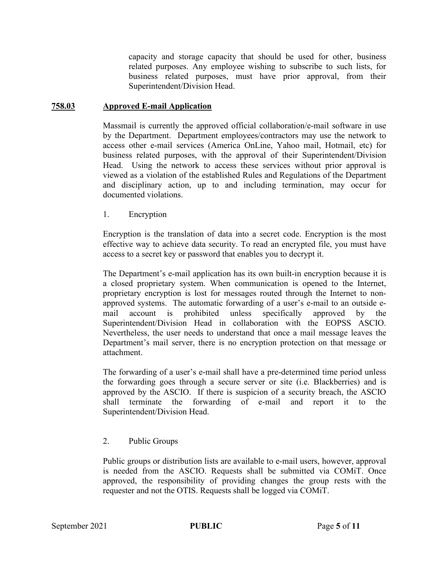capacity and storage capacity that should be used for other, business related purposes. Any employee wishing to subscribe to such lists, for business related purposes, must have prior approval, from their Superintendent/Division Head.

#### **758.03 Approved E-mail Application**

Massmail is currently the approved official collaboration/e-mail software in use by the Department. Department employees/contractors may use the network to access other e-mail services (America OnLine, Yahoo mail, Hotmail, etc) for business related purposes, with the approval of their Superintendent/Division Head. Using the network to access these services without prior approval is viewed as a violation of the established Rules and Regulations of the Department and disciplinary action, up to and including termination, may occur for documented violations.

1. Encryption

Encryption is the translation of data into a secret code. Encryption is the most effective way to achieve data security. To read an encrypted file, you must have access to a secret key or password that enables you to decrypt it.

The Department's e-mail application has its own built-in encryption because it is a closed proprietary system. When communication is opened to the Internet, proprietary encryption is lost for messages routed through the Internet to nonapproved systems. The automatic forwarding of a user's e-mail to an outside email account is prohibited unless specifically approved by the Superintendent/Division Head in collaboration with the EOPSS ASCIO. Nevertheless, the user needs to understand that once a mail message leaves the Department's mail server, there is no encryption protection on that message or attachment.

The forwarding of a user's e-mail shall have a pre-determined time period unless the forwarding goes through a secure server or site (i.e. Blackberries) and is approved by the ASCIO. If there is suspicion of a security breach, the ASCIO shall terminate the forwarding of e-mail and report it to the Superintendent/Division Head.

## 2. Public Groups

Public groups or distribution lists are available to e-mail users, however, approval is needed from the ASCIO. Requests shall be submitted via COMiT. Once approved, the responsibility of providing changes the group rests with the requester and not the OTIS. Requests shall be logged via COMiT.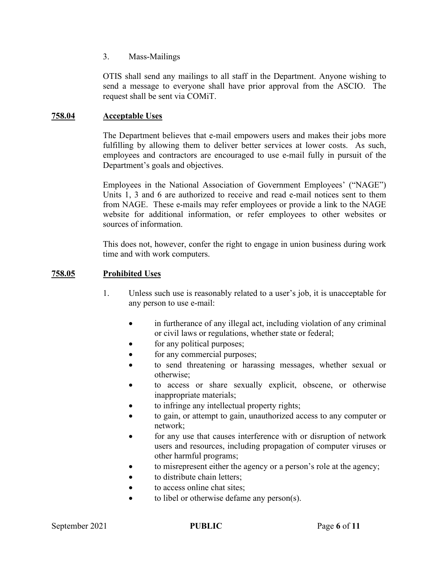#### 3. Mass-Mailings

OTIS shall send any mailings to all staff in the Department. Anyone wishing to send a message to everyone shall have prior approval from the ASCIO. The request shall be sent via COMiT.

### **758.04 Acceptable Uses**

The Department believes that e-mail empowers users and makes their jobs more fulfilling by allowing them to deliver better services at lower costs. As such, employees and contractors are encouraged to use e-mail fully in pursuit of the Department's goals and objectives.

Employees in the National Association of Government Employees' ("NAGE") Units 1, 3 and 6 are authorized to receive and read e-mail notices sent to them from NAGE. These e-mails may refer employees or provide a link to the NAGE website for additional information, or refer employees to other websites or sources of information.

This does not, however, confer the right to engage in union business during work time and with work computers.

#### **758.05 Prohibited Uses**

- 1. Unless such use is reasonably related to a user's job, it is unacceptable for any person to use e-mail:
	- in furtherance of any illegal act, including violation of any criminal or civil laws or regulations, whether state or federal;
	- for any political purposes;
	- for any commercial purposes;
	- to send threatening or harassing messages, whether sexual or otherwise;
	- to access or share sexually explicit, obscene, or otherwise inappropriate materials;
	- to infringe any intellectual property rights;
	- to gain, or attempt to gain, unauthorized access to any computer or network;
	- for any use that causes interference with or disruption of network users and resources, including propagation of computer viruses or other harmful programs;
	- to misrepresent either the agency or a person's role at the agency;
	- to distribute chain letters;
	- to access online chat sites;
	- to libel or otherwise defame any person(s).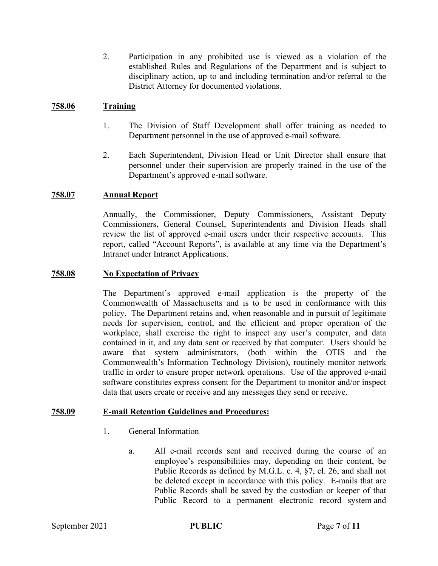2. Participation in any prohibited use is viewed as a violation of the established Rules and Regulations of the Department and is subject to disciplinary action, up to and including termination and/or referral to the District Attorney for documented violations.

#### **758.06 Training**

- 1. The Division of Staff Development shall offer training as needed to Department personnel in the use of approved e-mail software.
- 2. Each Superintendent, Division Head or Unit Director shall ensure that personnel under their supervision are properly trained in the use of the Department's approved e-mail software.

#### **758.07 Annual Report**

Annually, the Commissioner, Deputy Commissioners, Assistant Deputy Commissioners, General Counsel, Superintendents and Division Heads shall review the list of approved e-mail users under their respective accounts. This report, called "Account Reports", is available at any time via the Department's Intranet under Intranet Applications.

#### **758.08 No Expectation of Privacy**

The Department's approved e-mail application is the property of the Commonwealth of Massachusetts and is to be used in conformance with this policy. The Department retains and, when reasonable and in pursuit of legitimate needs for supervision, control, and the efficient and proper operation of the workplace, shall exercise the right to inspect any user's computer, and data contained in it, and any data sent or received by that computer. Users should be aware that system administrators, (both within the OTIS and the Commonwealth's Information Technology Division), routinely monitor network traffic in order to ensure proper network operations. Use of the approved e-mail software constitutes express consent for the Department to monitor and/or inspect data that users create or receive and any messages they send or receive.

#### **758.09 E-mail Retention Guidelines and Procedures:**

- 1. General Information
	- a. All e-mail records sent and received during the course of an employee's responsibilities may, depending on their content, be Public Records as defined by M.G.L. c. 4, §7, cl. 26, and shall not be deleted except in accordance with this policy. E-mails that are Public Records shall be saved by the custodian or keeper of that Public Record to a permanent electronic record system and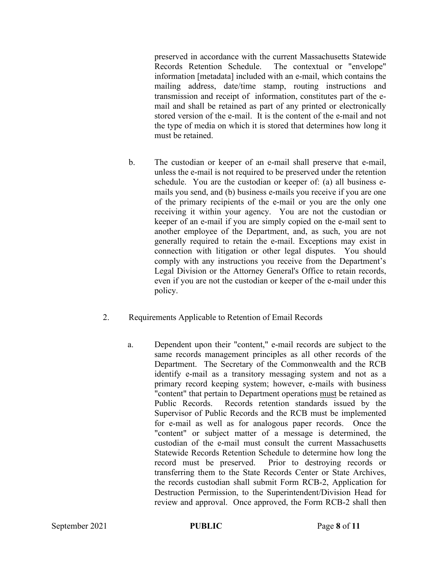preserved in accordance with the current Massachusetts Statewide Records Retention Schedule. The contextual or "envelope" information [metadata] included with an e-mail, which contains the mailing address, date/time stamp, routing instructions and transmission and receipt of information, constitutes part of the email and shall be retained as part of any printed or electronically stored version of the e-mail. It is the content of the e-mail and not the type of media on which it is stored that determines how long it must be retained.

- b. The custodian or keeper of an e-mail shall preserve that e-mail, unless the e-mail is not required to be preserved under the retention schedule. You are the custodian or keeper of: (a) all business emails you send, and (b) business e-mails you receive if you are one of the primary recipients of the e-mail or you are the only one receiving it within your agency. You are not the custodian or keeper of an e-mail if you are simply copied on the e-mail sent to another employee of the Department, and, as such, you are not generally required to retain the e-mail. Exceptions may exist in connection with litigation or other legal disputes. You should comply with any instructions you receive from the Department's Legal Division or the Attorney General's Office to retain records, even if you are not the custodian or keeper of the e-mail under this policy.
- 2. Requirements Applicable to Retention of Email Records
	- a. Dependent upon their "content," e-mail records are subject to the same records management principles as all other records of the Department. The Secretary of the Commonwealth and the RCB identify e-mail as a transitory messaging system and not as a primary record keeping system; however, e-mails with business "content" that pertain to Department operations must be retained as Public Records. Records retention standards issued by the Supervisor of Public Records and the RCB must be implemented for e-mail as well as for analogous paper records. Once the "content" or subject matter of a message is determined, the custodian of the e-mail must consult the current Massachusetts Statewide Records Retention Schedule to determine how long the record must be preserved. Prior to destroying records or transferring them to the State Records Center or State Archives, the records custodian shall submit Form RCB-2, Application for Destruction Permission, to the Superintendent/Division Head for review and approval. Once approved, the Form RCB-2 shall then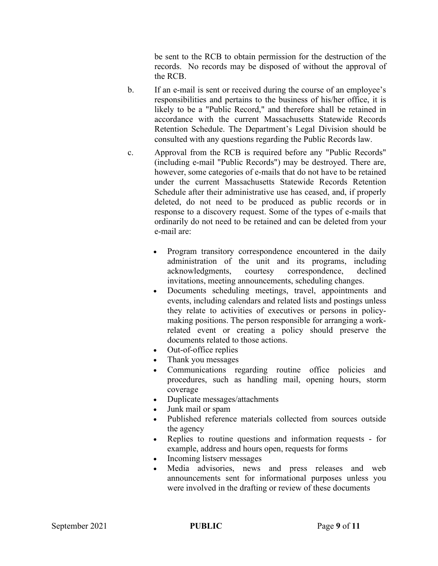be sent to the RCB to obtain permission for the destruction of the records. No records may be disposed of without the approval of the RCB.

- b. If an e-mail is sent or received during the course of an employee's responsibilities and pertains to the business of his/her office, it is likely to be a "Public Record," and therefore shall be retained in accordance with the current Massachusetts Statewide Records Retention Schedule. The Department's Legal Division should be consulted with any questions regarding the Public Records law.
- c. Approval from the RCB is required before any "Public Records" (including e-mail "Public Records") may be destroyed. There are, however, some categories of e-mails that do not have to be retained under the current Massachusetts Statewide Records Retention Schedule after their administrative use has ceased, and, if properly deleted, do not need to be produced as public records or in response to a discovery request. Some of the types of e-mails that ordinarily do not need to be retained and can be deleted from your e-mail are:
	- Program transitory correspondence encountered in the daily administration of the unit and its programs, including acknowledgments, courtesy correspondence, declined invitations, meeting announcements, scheduling changes.
	- Documents scheduling meetings, travel, appointments and events, including calendars and related lists and postings unless they relate to activities of executives or persons in policymaking positions. The person responsible for arranging a workrelated event or creating a policy should preserve the documents related to those actions.
	- Out-of-office replies
	- Thank you messages
	- Communications regarding routine office policies and procedures, such as handling mail, opening hours, storm coverage
	- Duplicate messages/attachments
	- Junk mail or spam
	- Published reference materials collected from sources outside the agency
	- Replies to routine questions and information requests for example, address and hours open, requests for forms
	- Incoming listserv messages
	- Media advisories, news and press releases and web announcements sent for informational purposes unless you were involved in the drafting or review of these documents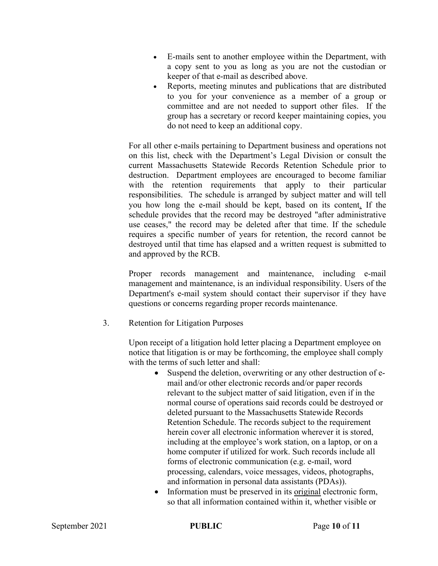- E-mails sent to another employee within the Department, with a copy sent to you as long as you are not the custodian or keeper of that e-mail as described above.
- Reports, meeting minutes and publications that are distributed to you for your convenience as a member of a group or committee and are not needed to support other files. If the group has a secretary or record keeper maintaining copies, you do not need to keep an additional copy.

For all other e-mails pertaining to Department business and operations not on this list, check with the Department's Legal Division or consult the current Massachusetts Statewide Records Retention Schedule prior to destruction. Department employees are encouraged to become familiar with the retention requirements that apply to their particular responsibilities. The schedule is arranged by subject matter and will tell you how long the e-mail should be kept, based on its content. If the schedule provides that the record may be destroyed "after administrative use ceases," the record may be deleted after that time. If the schedule requires a specific number of years for retention, the record cannot be destroyed until that time has elapsed and a written request is submitted to and approved by the RCB.

Proper records management and maintenance, including e-mail management and maintenance, is an individual responsibility. Users of the Department's e-mail system should contact their supervisor if they have questions or concerns regarding proper records maintenance.

3. Retention for Litigation Purposes

Upon receipt of a litigation hold letter placing a Department employee on notice that litigation is or may be forthcoming, the employee shall comply with the terms of such letter and shall:

- Suspend the deletion, overwriting or any other destruction of email and/or other electronic records and/or paper records relevant to the subject matter of said litigation, even if in the normal course of operations said records could be destroyed or deleted pursuant to the Massachusetts Statewide Records Retention Schedule. The records subject to the requirement herein cover all electronic information wherever it is stored, including at the employee's work station, on a laptop, or on a home computer if utilized for work. Such records include all forms of electronic communication (e.g. e-mail, word processing, calendars, voice messages, videos, photographs, and information in personal data assistants (PDAs)).
- Information must be preserved in its original electronic form, so that all information contained within it, whether visible or